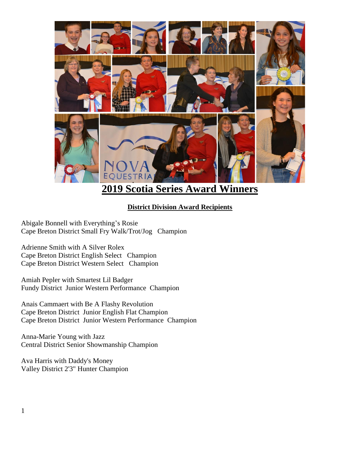

## **2019 Scotia Series Award Winners**

## **District Division Award Recipients**

Abigale Bonnell with Everything's Rosie Cape Breton District Small Fry Walk/Trot/Jog Champion

Adrienne Smith with A Silver Rolex Cape Breton District English Select Champion Cape Breton District Western Select Champion

Amiah Pepler with Smartest Lil Badger Fundy District Junior Western Performance Champion

Anais Cammaert with Be A Flashy Revolution Cape Breton District Junior English Flat Champion Cape Breton District Junior Western Performance Champion

Anna-Marie Young with Jazz Central District Senior Showmanship Champion

Ava Harris with Daddy's Money Valley District 2'3" Hunter Champion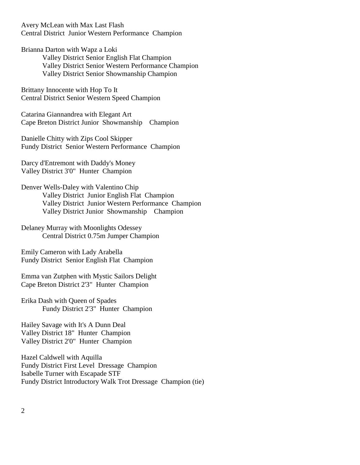Avery McLean with Max Last Flash Central District Junior Western Performance Champion

Brianna Darton with Wapz a Loki Valley District Senior English Flat Champion Valley District Senior Western Performance Champion Valley District Senior Showmanship Champion

Brittany Innocente with Hop To It Central District Senior Western Speed Champion

Catarina Giannandrea with Elegant Art Cape Breton District Junior Showmanship Champion

Danielle Chitty with Zips Cool Skipper Fundy District Senior Western Performance Champion

Darcy d'Entremont with Daddy's Money Valley District 3'0" Hunter Champion

Denver Wells-Daley with Valentino Chip Valley District Junior English Flat Champion Valley District Junior Western Performance Champion Valley District Junior Showmanship Champion

Delaney Murray with Moonlights Odessey Central District 0.75m Jumper Champion

Emily Cameron with Lady Arabella Fundy District Senior English Flat Champion

Emma van Zutphen with Mystic Sailors Delight Cape Breton District 2'3" Hunter Champion

Erika Dash with Queen of Spades Fundy District 2'3" Hunter Champion

Hailey Savage with It's A Dunn Deal Valley District 18" Hunter Champion Valley District 2'0" Hunter Champion

Hazel Caldwell with Aquilla Fundy District First Level Dressage Champion Isabelle Turner with Escapade STF Fundy District Introductory Walk Trot Dressage Champion (tie)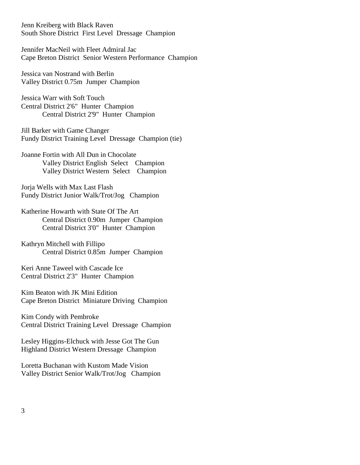Jenn Kreiberg with Black Raven South Shore District First Level Dressage Champion

Jennifer MacNeil with Fleet Admiral Jac Cape Breton District Senior Western Performance Champion

Jessica van Nostrand with Berlin Valley District 0.75m Jumper Champion

Jessica Warr with Soft Touch Central District 2'6" Hunter Champion Central District 2'9" Hunter Champion

Jill Barker with Game Changer Fundy District Training Level Dressage Champion (tie)

Joanne Fortin with All Dun in Chocolate Valley District English Select Champion Valley District Western Select Champion

Jorja Wells with Max Last Flash Fundy District Junior Walk/Trot/Jog Champion

Katherine Howarth with State Of The Art Central District 0.90m Jumper Champion Central District 3'0" Hunter Champion

Kathryn Mitchell with Fillipo Central District 0.85m Jumper Champion

Keri Anne Taweel with Cascade Ice Central District 2'3" Hunter Champion

Kim Beaton with JK Mini Edition Cape Breton District Miniature Driving Champion

Kim Condy with Pembroke Central District Training Level Dressage Champion

Lesley Higgins-Elchuck with Jesse Got The Gun Highland District Western Dressage Champion

Loretta Buchanan with Kustom Made Vision Valley District Senior Walk/Trot/Jog Champion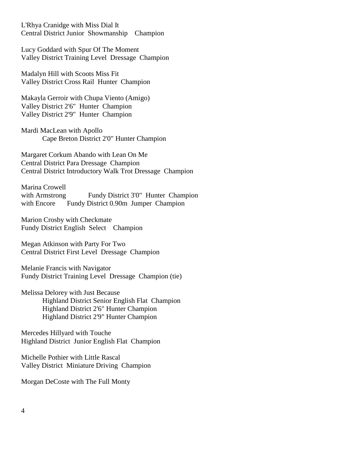L'Rhya Cranidge with Miss Dial It Central District Junior Showmanship Champion

Lucy Goddard with Spur Of The Moment Valley District Training Level Dressage Champion

Madalyn Hill with Scoots Miss Fit Valley District Cross Rail Hunter Champion

Makayla Gerroir with Chupa Viento (Amigo) Valley District 2'6" Hunter Champion Valley District 2'9" Hunter Champion

Mardi MacLean with Apollo Cape Breton District 2'0" Hunter Champion

Margaret Corkum Abando with Lean On Me Central District Para Dressage Champion Central District Introductory Walk Trot Dressage Champion

Marina Crowell with Armstrong Fundy District 3'0" Hunter Champion with Encore Fundy District 0.90m Jumper Champion

Marion Crosby with Checkmate Fundy District English Select Champion

Megan Atkinson with Party For Two Central District First Level Dressage Champion

Melanie Francis with Navigator Fundy District Training Level Dressage Champion (tie)

Melissa Delorey with Just Because Highland District Senior English Flat Champion Highland District 2'6" Hunter Champion Highland District 2'9" Hunter Champion

Mercedes Hillyard with Touche Highland District Junior English Flat Champion

Michelle Pothier with Little Rascal Valley District Miniature Driving Champion

Morgan DeCoste with The Full Monty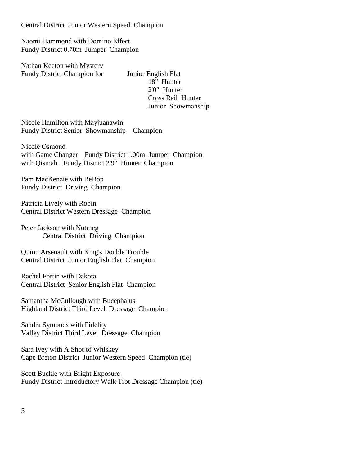Central District Junior Western Speed Champion

Naomi Hammond with Domino Effect Fundy District 0.70m Jumper Champion

Nathan Keeton with Mystery Fundy District Champion for Junior English Flat

18" Hunter 2'0" Hunter Cross Rail Hunter Junior Showmanship

Nicole Hamilton with Mayjuanawin Fundy District Senior Showmanship Champion

Nicole Osmond with Game Changer Fundy District 1.00m Jumper Champion with Qismah Fundy District 2'9" Hunter Champion

Pam MacKenzie with BeBop Fundy District Driving Champion

Patricia Lively with Robin Central District Western Dressage Champion

Peter Jackson with Nutmeg Central District Driving Champion

Quinn Arsenault with King's Double Trouble Central District Junior English Flat Champion

Rachel Fortin with Dakota Central District Senior English Flat Champion

Samantha McCullough with Bucephalus Highland District Third Level Dressage Champion

Sandra Symonds with Fidelity Valley District Third Level Dressage Champion

Sara Ivey with A Shot of Whiskey Cape Breton District Junior Western Speed Champion (tie)

Scott Buckle with Bright Exposure Fundy District Introductory Walk Trot Dressage Champion (tie)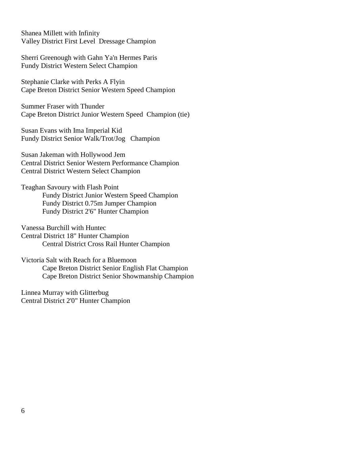Shanea Millett with Infinity Valley District First Level Dressage Champion

Sherri Greenough with Gahn Ya'n Hermes Paris Fundy District Western Select Champion

Stephanie Clarke with Perks A Flyin Cape Breton District Senior Western Speed Champion

Summer Fraser with Thunder Cape Breton District Junior Western Speed Champion (tie)

Susan Evans with Ima Imperial Kid Fundy District Senior Walk/Trot/Jog Champion

Susan Jakeman with Hollywood Jem Central District Senior Western Performance Champion Central District Western Select Champion

Teaghan Savoury with Flash Point Fundy District Junior Western Speed Champion Fundy District 0.75m Jumper Champion Fundy District 2'6" Hunter Champion

Vanessa Burchill with Huntec Central District 18" Hunter Champion Central District Cross Rail Hunter Champion

Victoria Salt with Reach for a Bluemoon Cape Breton District Senior English Flat Champion Cape Breton District Senior Showmanship Champion

Linnea Murray with Glitterbug Central District 2'0" Hunter Champion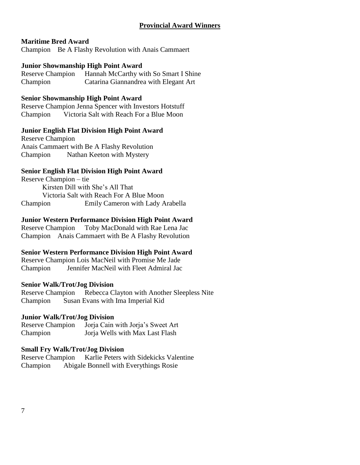## **Provincial Award Winners**

#### **Maritime Bred Award**

Champion Be A Flashy Revolution with Anais Cammaert

#### **Junior Showmanship High Point Award**

Reserve Champion Hannah McCarthy with So Smart I Shine Champion Catarina Giannandrea with Elegant Art

#### **Senior Showmanship High Point Award**

Reserve Champion Jenna Spencer with Investors Hotstuff Champion Victoria Salt with Reach For a Blue Moon

#### **Junior English Flat Division High Point Award**

Reserve Champion Anais Cammaert with Be A Flashy Revolution Champion Nathan Keeton with Mystery

## **Senior English Flat Division High Point Award**

Reserve Champion – tie Kirsten Dill with She's All That Victoria Salt with Reach For A Blue Moon Champion Emily Cameron with Lady Arabella

## **Junior Western Performance Division High Point Award**

Reserve Champion Toby MacDonald with Rae Lena Jac Champion Anais Cammaert with Be A Flashy Revolution

## **Senior Western Performance Division High Point Award**

Reserve Champion Lois MacNeil with Promise Me Jade Champion Jennifer MacNeil with Fleet Admiral Jac

#### **Senior Walk/Trot/Jog Division**

Reserve Champion Rebecca Clayton with Another Sleepless Nite Champion Susan Evans with Ima Imperial Kid

#### **Junior Walk/Trot/Jog Division**

Reserve Champion Jorja Cain with Jorja's Sweet Art Champion Jorja Wells with Max Last Flash

#### **Small Fry Walk/Trot/Jog Division**

Reserve Champion Karlie Peters with Sidekicks Valentine Champion Abigale Bonnell with Everythings Rosie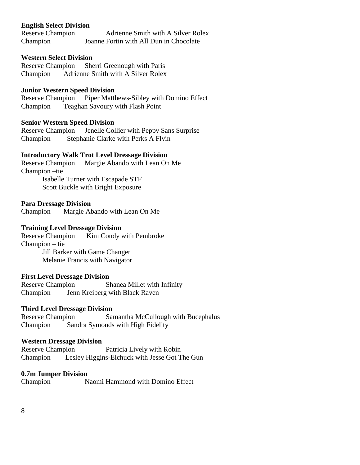#### **English Select Division**

Reserve Champion Adrienne Smith with A Silver Rolex Champion Joanne Fortin with All Dun in Chocolate

#### **Western Select Division**

Reserve Champion Sherri Greenough with Paris Champion Adrienne Smith with A Silver Rolex

#### **Junior Western Speed Division**

Reserve Champion Piper Matthews-Sibley with Domino Effect Champion Teaghan Savoury with Flash Point

#### **Senior Western Speed Division**

Reserve Champion Jenelle Collier with Peppy Sans Surprise Champion Stephanie Clarke with Perks A Flyin

#### **Introductory Walk Trot Level Dressage Division**

Reserve Champion Margie Abando with Lean On Me Champion –tie Isabelle Turner with Escapade STF

Scott Buckle with Bright Exposure

#### **Para Dressage Division**

Champion Margie Abando with Lean On Me

#### **Training Level Dressage Division**

Reserve Champion Kim Condy with Pembroke Champion – tie Jill Barker with Game Changer Melanie Francis with Navigator

#### **First Level Dressage Division**

Reserve Champion Shanea Millet with Infinity Champion Jenn Kreiberg with Black Raven

#### **Third Level Dressage Division**

Reserve Champion Samantha McCullough with Bucephalus Champion Sandra Symonds with High Fidelity

#### **Western Dressage Division**

Reserve Champion Patricia Lively with Robin Champion Lesley Higgins-Elchuck with Jesse Got The Gun

#### **0.7m Jumper Division**

Champion Naomi Hammond with Domino Effect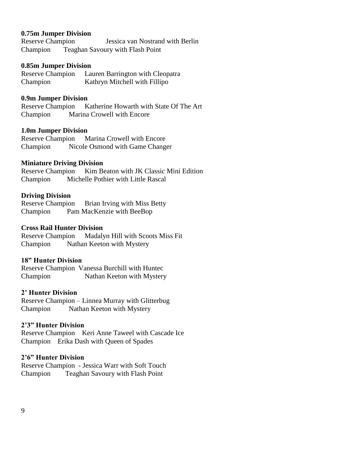#### **0.75m Jumper Division**

Reserve Champion Jessica van Nostrand with Berlin Champion Teaghan Savoury with Flash Point

#### **0.85m Jumper Division**

Reserve Champion Lauren Barrington with Cleopatra Champion Kathryn Mitchell with Fillipo

#### **0.9m Jumper Division**

Reserve Champion Katherine Howarth with State Of The Art Champion Marina Crowell with Encore

#### **1.0m Jumper Division**

Reserve Champion Marina Crowell with Encore Champion Nicole Osmond with Game Changer

#### **Miniature Driving Division**

Reserve Champion Kim Beaton with JK Classic Mini Edition Champion Michelle Pothier with Little Rascal

#### **Driving Division**

Reserve Champion Brian Irving with Miss Betty Champion Pam MacKenzie with BeeBop

#### **Cross Rail Hunter Division**

Reserve Champion Madalyn Hill with Scoots Miss Fit Champion Nathan Keeton with Mystery

#### **18" Hunter Division**

Reserve Champion Vanessa Burchill with Huntec Champion Nathan Keeton with Mystery

#### **2' Hunter Division**

Reserve Champion – Linnea Murray with Glitterbug Champion Nathan Keeton with Mystery

#### **2'3" Hunter Division**

Reserve Champion Keri Anne Taweel with Cascade Ice Champion Erika Dash with Queen of Spades

#### **2'6" Hunter Division**

Reserve Champion - Jessica Warr with Soft Touch Champion Teaghan Savoury with Flash Point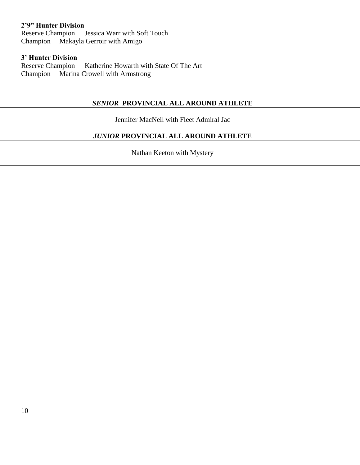## **2'9" Hunter Division**

Reserve Champion Jessica Warr with Soft Touch Champion Makayla Gerroir with Amigo

# **3' Hunter Division**

Katherine Howarth with State Of The Art Champion Marina Crowell with Armstrong

## *SENIOR* **PROVINCIAL ALL AROUND ATHLETE**

Jennifer MacNeil with Fleet Admiral Jac

## *JUNIOR* **PROVINCIAL ALL AROUND ATHLETE**

Nathan Keeton with Mystery